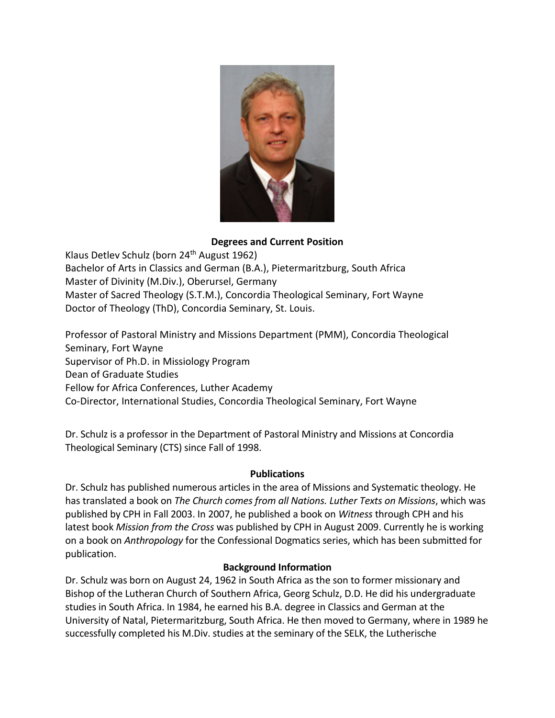

## **Degrees and Current Position**

Klaus Detlev Schulz (born 24th August 1962) Bachelor of Arts in Classics and German (B.A.), Pietermaritzburg, South Africa Master of Divinity (M.Div.), Oberursel, Germany Master of Sacred Theology (S.T.M.), Concordia Theological Seminary, Fort Wayne Doctor of Theology (ThD), Concordia Seminary, St. Louis.

Professor of Pastoral Ministry and Missions Department (PMM), Concordia Theological Seminary, Fort Wayne Supervisor of Ph.D. in Missiology Program Dean of Graduate Studies Fellow for Africa Conferences, Luther Academy Co-Director, International Studies, Concordia Theological Seminary, Fort Wayne

Dr. Schulz is a professor in the Department of Pastoral Ministry and Missions at Concordia Theological Seminary (CTS) since Fall of 1998.

## **Publications**

Dr. Schulz has published numerous articles in the area of Missions and Systematic theology. He has translated a book on *The Church comes from all Nations. Luther Texts on Missions*, which was published by CPH in Fall 2003. In 2007, he published a book on *Witness* through CPH and his latest book *Mission from the Cross* was published by CPH in August 2009. Currently he is working on a book on *Anthropology* for the Confessional Dogmatics series, which has been submitted for publication.

## **Background Information**

Dr. Schulz was born on August 24, 1962 in South Africa as the son to former missionary and Bishop of the Lutheran Church of Southern Africa, Georg Schulz, D.D. He did his undergraduate studies in South Africa. In 1984, he earned his B.A. degree in Classics and German at the University of Natal, Pietermaritzburg, South Africa. He then moved to Germany, where in 1989 he successfully completed his M.Div. studies at the seminary of the SELK, the Lutherische